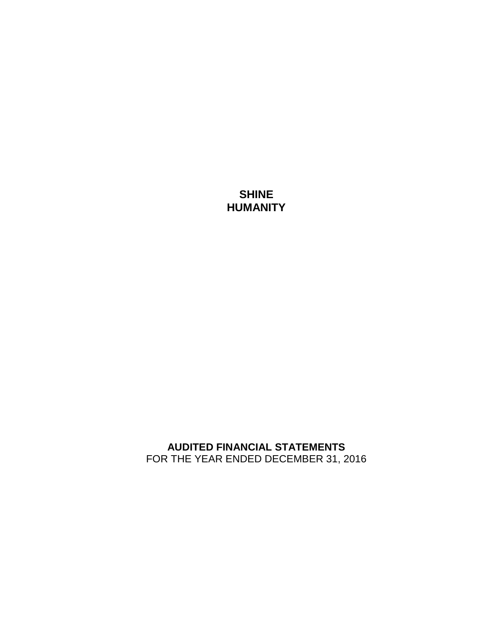**SHINE HUMANITY**

**AUDITED FINANCIAL STATEMENTS** FOR THE YEAR ENDED DECEMBER 31, 2016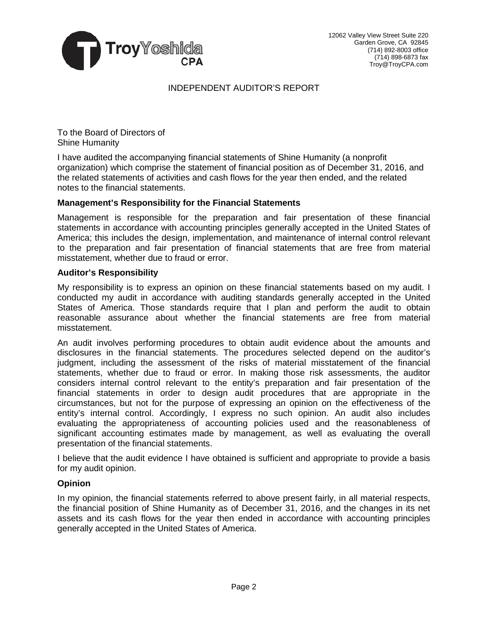

# INDEPENDENT AUDITOR'S REPORT

To the Board of Directors of Shine Humanity

I have audited the accompanying financial statements of Shine Humanity (a nonprofit organization) which comprise the statement of financial position as of December 31, 2016, and the related statements of activities and cash flows for the year then ended, and the related notes to the financial statements.

## **Management's Responsibility for the Financial Statements**

Management is responsible for the preparation and fair presentation of these financial statements in accordance with accounting principles generally accepted in the United States of America; this includes the design, implementation, and maintenance of internal control relevant to the preparation and fair presentation of financial statements that are free from material misstatement, whether due to fraud or error.

### **Auditor's Responsibility**

My responsibility is to express an opinion on these financial statements based on my audit. I conducted my audit in accordance with auditing standards generally accepted in the United States of America. Those standards require that I plan and perform the audit to obtain reasonable assurance about whether the financial statements are free from material misstatement.

An audit involves performing procedures to obtain audit evidence about the amounts and disclosures in the financial statements. The procedures selected depend on the auditor's judgment, including the assessment of the risks of material misstatement of the financial statements, whether due to fraud or error. In making those risk assessments, the auditor considers internal control relevant to the entity's preparation and fair presentation of the financial statements in order to design audit procedures that are appropriate in the circumstances, but not for the purpose of expressing an opinion on the effectiveness of the entity's internal control. Accordingly, I express no such opinion. An audit also includes evaluating the appropriateness of accounting policies used and the reasonableness of significant accounting estimates made by management, as well as evaluating the overall presentation of the financial statements.

I believe that the audit evidence I have obtained is sufficient and appropriate to provide a basis for my audit opinion.

### **Opinion**

In my opinion, the financial statements referred to above present fairly, in all material respects, the financial position of Shine Humanity as of December 31, 2016, and the changes in its net assets and its cash flows for the year then ended in accordance with accounting principles generally accepted in the United States of America.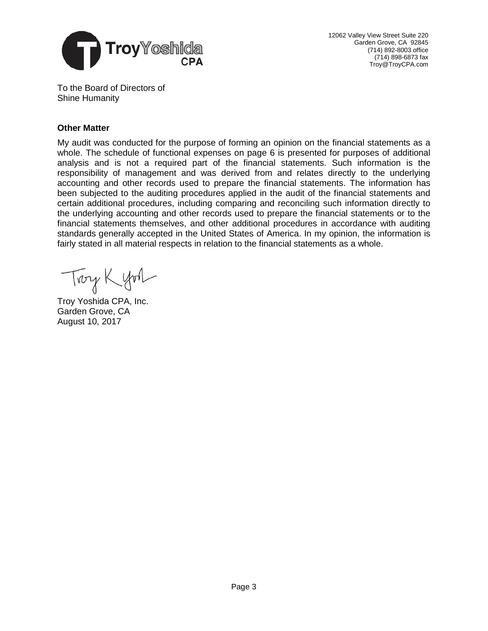

To the Board of Directors of Shine Humanity

# **Other Matter**

My audit was conducted for the purpose of forming an opinion on the financial statements as a whole. The schedule of functional expenses on page 6 is presented for purposes of additional analysis and is not a required part of the financial statements. Such information is the responsibility of management and was derived from and relates directly to the underlying accounting and other records used to prepare the financial statements. The information has been subjected to the auditing procedures applied in the audit of the financial statements and certain additional procedures, including comparing and reconciling such information directly to the underlying accounting and other records used to prepare the financial statements or to the financial statements themselves, and other additional procedures in accordance with auditing standards generally accepted in the United States of America. In my opinion, the information is fairly stated in all material respects in relation to the financial statements as a whole.

Troy Kyon

Troy Yoshida CPA, Inc. Garden Grove, CA August 10, 2017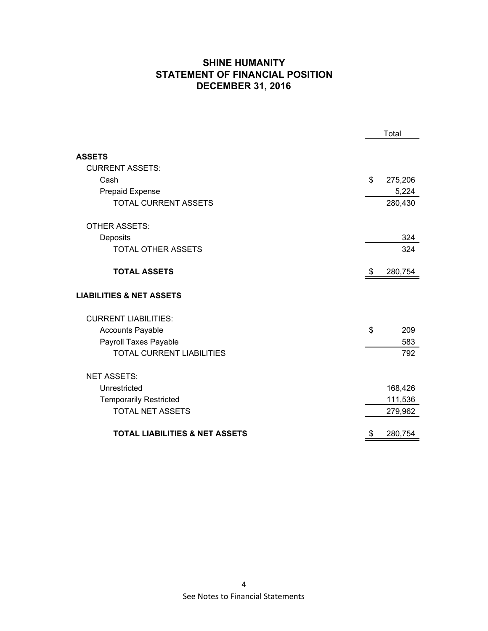# **SHINE HUMANITY STATEMENT OF FINANCIAL POSITION DECEMBER 31, 2016**

|                                           | Total |         |
|-------------------------------------------|-------|---------|
| <b>ASSETS</b>                             |       |         |
| <b>CURRENT ASSETS:</b>                    |       |         |
| Cash                                      | \$    | 275,206 |
| Prepaid Expense                           |       | 5,224   |
| <b>TOTAL CURRENT ASSETS</b>               |       | 280,430 |
| <b>OTHER ASSETS:</b>                      |       |         |
| Deposits                                  |       | 324     |
| <b>TOTAL OTHER ASSETS</b>                 |       | 324     |
| <b>TOTAL ASSETS</b>                       | \$    | 280,754 |
| <b>LIABILITIES &amp; NET ASSETS</b>       |       |         |
| <b>CURRENT LIABILITIES:</b>               |       |         |
| <b>Accounts Payable</b>                   | \$    | 209     |
| Payroll Taxes Payable                     |       | 583     |
| <b>TOTAL CURRENT LIABILITIES</b>          |       | 792     |
| <b>NET ASSETS:</b>                        |       |         |
| Unrestricted                              |       | 168,426 |
| <b>Temporarily Restricted</b>             |       | 111,536 |
| <b>TOTAL NET ASSETS</b>                   |       | 279,962 |
| <b>TOTAL LIABILITIES &amp; NET ASSETS</b> | \$    | 280,754 |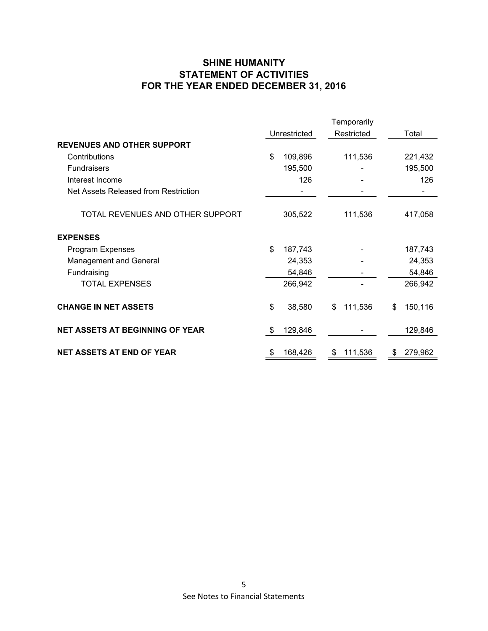# **SHINE HUMANITY STATEMENT OF ACTIVITIES FOR THE YEAR ENDED DECEMBER 31, 2016**

|                                        |              |         | Temporarily   |    |         |  |
|----------------------------------------|--------------|---------|---------------|----|---------|--|
|                                        | Unrestricted |         | Restricted    |    | Total   |  |
| <b>REVENUES AND OTHER SUPPORT</b>      |              |         |               |    |         |  |
| Contributions                          | \$           | 109,896 | 111,536       |    | 221,432 |  |
| <b>Fundraisers</b>                     |              | 195,500 |               |    | 195,500 |  |
| Interest Income                        |              | 126     |               |    | 126     |  |
| Net Assets Released from Restriction   |              |         |               |    |         |  |
| TOTAL REVENUES AND OTHER SUPPORT       |              | 305,522 | 111,536       |    | 417,058 |  |
| <b>EXPENSES</b>                        |              |         |               |    |         |  |
| Program Expenses                       | \$           | 187,743 |               |    | 187,743 |  |
| <b>Management and General</b>          |              | 24,353  |               |    | 24,353  |  |
| Fundraising                            |              | 54,846  |               |    | 54,846  |  |
| <b>TOTAL EXPENSES</b>                  |              | 266,942 |               |    | 266,942 |  |
| <b>CHANGE IN NET ASSETS</b>            | \$           | 38,580  | \$<br>111,536 | \$ | 150,116 |  |
| <b>NET ASSETS AT BEGINNING OF YEAR</b> | \$           | 129,846 |               |    | 129,846 |  |
| <b>NET ASSETS AT END OF YEAR</b>       | \$           | 168,426 | \$<br>111,536 | \$ | 279,962 |  |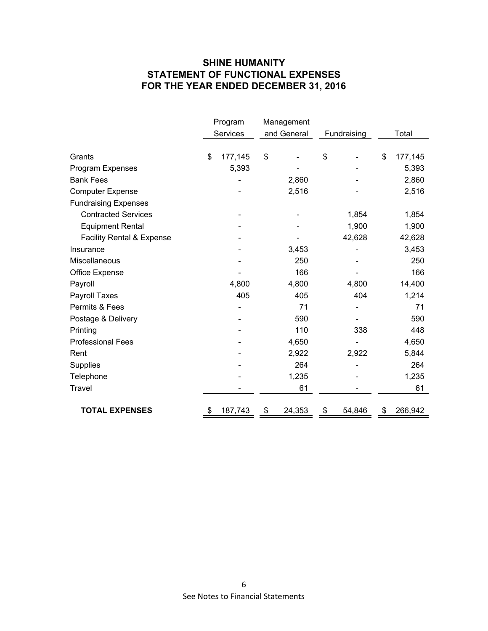# **SHINE HUMANITY STATEMENT OF FUNCTIONAL EXPENSES FOR THE YEAR ENDED DECEMBER 31, 2016**

|                                      |    | Program  | Management  |        |             |        |       |         |
|--------------------------------------|----|----------|-------------|--------|-------------|--------|-------|---------|
|                                      |    | Services | and General |        | Fundraising |        | Total |         |
|                                      |    |          |             |        |             |        |       |         |
| Grants                               | \$ | 177,145  | \$          |        | \$          |        | \$    | 177,145 |
| Program Expenses                     |    | 5,393    |             |        |             |        |       | 5,393   |
| <b>Bank Fees</b>                     |    |          |             | 2,860  |             |        |       | 2,860   |
| <b>Computer Expense</b>              |    |          |             | 2,516  |             |        |       | 2,516   |
| <b>Fundraising Expenses</b>          |    |          |             |        |             |        |       |         |
| <b>Contracted Services</b>           |    |          |             |        |             | 1,854  |       | 1,854   |
| <b>Equipment Rental</b>              |    |          |             |        |             | 1,900  |       | 1,900   |
| <b>Facility Rental &amp; Expense</b> |    |          |             |        |             | 42,628 |       | 42,628  |
| Insurance                            |    |          |             | 3,453  |             |        |       | 3,453   |
| Miscellaneous                        |    |          |             | 250    |             |        |       | 250     |
| Office Expense                       |    |          |             | 166    |             |        |       | 166     |
| Payroll                              |    | 4,800    |             | 4,800  |             | 4,800  |       | 14,400  |
| Payroll Taxes                        |    | 405      |             | 405    |             | 404    |       | 1,214   |
| Permits & Fees                       |    |          |             | 71     |             |        |       | 71      |
| Postage & Delivery                   |    |          |             | 590    |             |        |       | 590     |
| Printing                             |    |          |             | 110    |             | 338    |       | 448     |
| <b>Professional Fees</b>             |    |          |             | 4,650  |             |        |       | 4,650   |
| Rent                                 |    |          |             | 2,922  |             | 2,922  |       | 5,844   |
| <b>Supplies</b>                      |    |          |             | 264    |             |        |       | 264     |
| Telephone                            |    |          |             | 1,235  |             |        |       | 1,235   |
| Travel                               |    |          |             | 61     |             |        |       | 61      |
|                                      |    |          |             |        |             |        |       |         |
| <b>TOTAL EXPENSES</b>                | S  | 187,743  | \$          | 24,353 | \$          | 54,846 | \$    | 266,942 |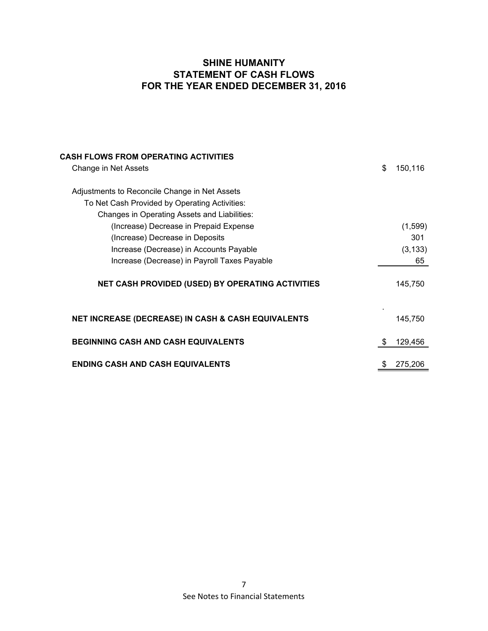# **SHINE HUMANITY STATEMENT OF CASH FLOWS FOR THE YEAR ENDED DECEMBER 31, 2016**

| <b>CASH FLOWS FROM OPERATING ACTIVITIES</b>                   |    |          |
|---------------------------------------------------------------|----|----------|
| Change in Net Assets                                          | \$ | 150,116  |
|                                                               |    |          |
| Adjustments to Reconcile Change in Net Assets                 |    |          |
| To Net Cash Provided by Operating Activities:                 |    |          |
| Changes in Operating Assets and Liabilities:                  |    |          |
| (Increase) Decrease in Prepaid Expense                        |    | (1,599)  |
| (Increase) Decrease in Deposits                               |    | 301      |
| Increase (Decrease) in Accounts Payable                       |    | (3, 133) |
| Increase (Decrease) in Payroll Taxes Payable                  |    | 65       |
| <b>NET CASH PROVIDED (USED) BY OPERATING ACTIVITIES</b>       |    | 145,750  |
| <b>NET INCREASE (DECREASE) IN CASH &amp; CASH EQUIVALENTS</b> |    | 145,750  |
| <b>BEGINNING CASH AND CASH EQUIVALENTS</b>                    | S  | 129,456  |
| <b>ENDING CASH AND CASH EQUIVALENTS</b>                       |    | 275.206  |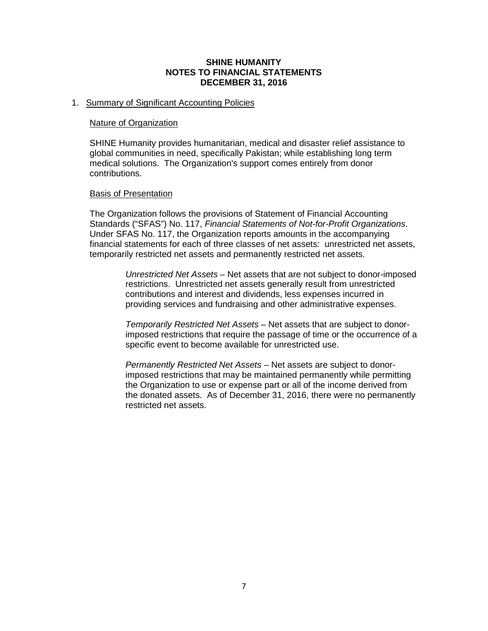# **SHINE HUMANITY NOTES TO FINANCIAL STATEMENTS DECEMBER 31, 2016**

### 1. Summary of Significant Accounting Policies

#### Nature of Organization

SHINE Humanity provides humanitarian, medical and disaster relief assistance to global communities in need, specifically Pakistan; while establishing long term medical solutions. The Organization's support comes entirely from donor contributions.

### Basis of Presentation

The Organization follows the provisions of Statement of Financial Accounting Standards ("SFAS") No. 117, *Financial Statements of Not-for-Profit Organizations*. Under SFAS No. 117, the Organization reports amounts in the accompanying financial statements for each of three classes of net assets: unrestricted net assets, temporarily restricted net assets and permanently restricted net assets.

> *Unrestricted Net Assets* – Net assets that are not subject to donor-imposed restrictions. Unrestricted net assets generally result from unrestricted contributions and interest and dividends, less expenses incurred in providing services and fundraising and other administrative expenses.

> *Temporarily Restricted Net Assets* – Net assets that are subject to donorimposed restrictions that require the passage of time or the occurrence of a specific event to become available for unrestricted use.

> *Permanently Restricted Net Assets* – Net assets are subject to donorimposed restrictions that may be maintained permanently while permitting the Organization to use or expense part or all of the income derived from the donated assets. As of December 31, 2016, there were no permanently restricted net assets.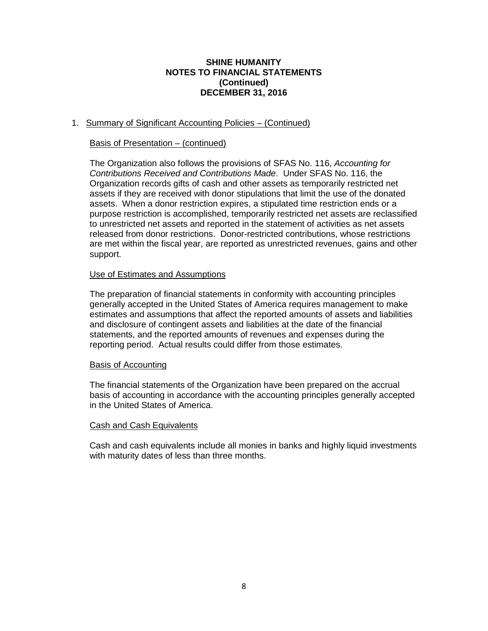### **SHINE HUMANITY NOTES TO FINANCIAL STATEMENTS (Continued) DECEMBER 31, 2016**

# 1. Summary of Significant Accounting Policies – (Continued)

## Basis of Presentation – (continued)

The Organization also follows the provisions of SFAS No. 116, *Accounting for Contributions Received and Contributions Made*. Under SFAS No. 116, the Organization records gifts of cash and other assets as temporarily restricted net assets if they are received with donor stipulations that limit the use of the donated assets. When a donor restriction expires, a stipulated time restriction ends or a purpose restriction is accomplished, temporarily restricted net assets are reclassified to unrestricted net assets and reported in the statement of activities as net assets released from donor restrictions. Donor-restricted contributions, whose restrictions are met within the fiscal year, are reported as unrestricted revenues, gains and other support.

## Use of Estimates and Assumptions

The preparation of financial statements in conformity with accounting principles generally accepted in the United States of America requires management to make estimates and assumptions that affect the reported amounts of assets and liabilities and disclosure of contingent assets and liabilities at the date of the financial statements, and the reported amounts of revenues and expenses during the reporting period. Actual results could differ from those estimates.

### Basis of Accounting

The financial statements of the Organization have been prepared on the accrual basis of accounting in accordance with the accounting principles generally accepted in the United States of America.

### Cash and Cash Equivalents

Cash and cash equivalents include all monies in banks and highly liquid investments with maturity dates of less than three months.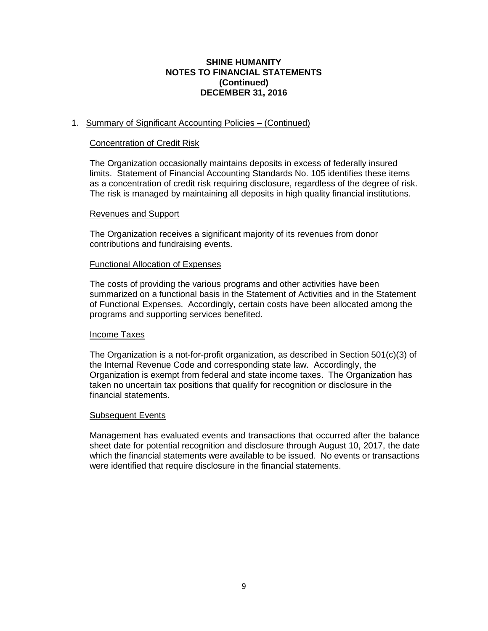### **SHINE HUMANITY NOTES TO FINANCIAL STATEMENTS (Continued) DECEMBER 31, 2016**

# 1. Summary of Significant Accounting Policies – (Continued)

#### Concentration of Credit Risk

The Organization occasionally maintains deposits in excess of federally insured limits. Statement of Financial Accounting Standards No. 105 identifies these items as a concentration of credit risk requiring disclosure, regardless of the degree of risk. The risk is managed by maintaining all deposits in high quality financial institutions.

#### Revenues and Support

The Organization receives a significant majority of its revenues from donor contributions and fundraising events.

#### Functional Allocation of Expenses

The costs of providing the various programs and other activities have been summarized on a functional basis in the Statement of Activities and in the Statement of Functional Expenses. Accordingly, certain costs have been allocated among the programs and supporting services benefited.

#### Income Taxes

The Organization is a not-for-profit organization, as described in Section 501(c)(3) of the Internal Revenue Code and corresponding state law. Accordingly, the Organization is exempt from federal and state income taxes. The Organization has taken no uncertain tax positions that qualify for recognition or disclosure in the financial statements.

### Subsequent Events

Management has evaluated events and transactions that occurred after the balance sheet date for potential recognition and disclosure through August 10, 2017, the date which the financial statements were available to be issued. No events or transactions were identified that require disclosure in the financial statements.